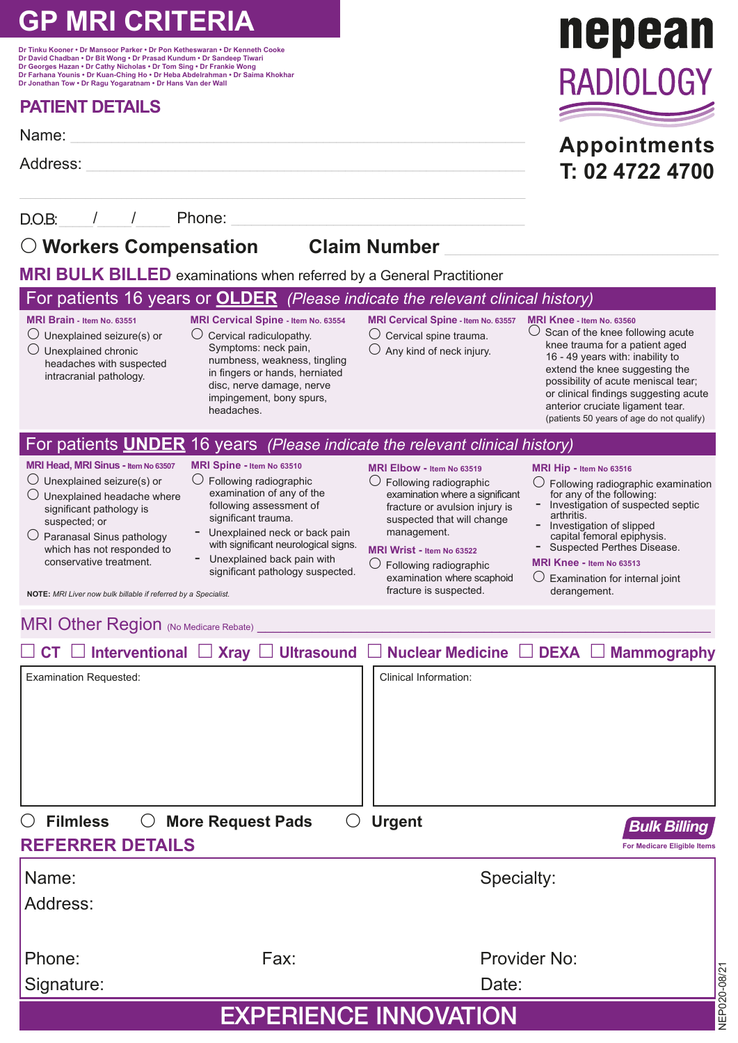# **GP MRI CRITERIA**

**Dr Tinku Kooner • Dr Mansoor Parker • Dr Pon Ketheswaran • Dr Kenneth Cooke Dr David Chadban • Dr Bit Wong • Dr Prasad Kundum • Dr Sandeep Tiwari Dr Georges Hazan • Dr Cathy Nicholas • Dr Tom Sing • Dr Frankie Wong Dr Farhana Younis • Dr Kuan-Ching Ho • Dr Heba Abdelrahman • Dr Saima Khokhar Dr Jonathan Tow • Dr Ragu Yogaratnam • Dr Hans Van der Wall**

## **PATIENT DETAILS**

Name: \_\_\_\_\_\_\_\_\_\_\_\_\_\_\_\_\_\_\_\_\_\_\_\_\_\_\_\_\_\_\_\_\_\_\_\_\_\_\_\_\_\_\_\_\_\_\_\_\_\_\_\_\_\_\_\_\_\_\_\_\_\_\_\_\_\_\_

Address: \_\_\_\_\_\_\_\_\_\_\_\_\_\_\_\_\_\_\_\_\_\_\_\_\_\_\_\_\_\_\_\_\_\_\_\_\_\_\_\_\_\_\_\_\_\_\_\_\_\_\_\_\_\_\_\_\_\_\_\_\_\_\_\_\_

D.O.B:\_\_\_\_\_/\_\_\_\_\_/\_\_\_\_\_ Phone: \_\_\_\_\_\_\_\_\_\_\_\_\_\_\_\_\_\_\_\_\_\_\_\_\_\_\_\_\_\_\_\_\_\_\_\_\_\_\_\_\_\_\_\_\_\_\_

## **Workers Compensation Claim Number** \_\_\_\_\_\_\_\_\_\_\_\_\_\_\_\_\_\_\_\_\_\_\_\_\_\_\_\_\_\_\_\_\_\_\_\_\_\_\_\_\_\_\_\_\_\_\_\_\_\_\_\_\_\_

**MRI BULK BILLED** examinations when referred by a General Practitioner

## For patients 16 years or **OLDER** *(Please indicate the relevant clinical history)*

**MRI Brain - Item No. 63551**  $\bigcirc$  Unexplained seizure(s) or

 $\bigcirc$  Unexplained chronic headaches with suspected intracranial pathology.

- **MRI Cervical Spine Item No. 63554**  $\bigcap$  Cervical radiculopathy. Symptoms: neck pain. numbness, weakness, tingling in fingers or hands, herniated disc, nerve damage, nerve impingement, bony spurs, headaches.
- **MRI Cervical Spine Item No. 63557**  $\bigcirc$  Cervical spine trauma.
- $\bigcirc$  Any kind of neck injury.
- **MRI Knee Item No. 63560**  $\bigcirc$  Scan of the knee following acute knee trauma for a patient aged 16 - 49 years with: inability to extend the knee suggesting the possibility of acute meniscal tear; or clinical findings suggesting acute anterior cruciate ligament tear. (patients 50 years of age do not qualify)

## **MRI Elbow - Item No 63519** For patients **UNDER** 16 years *(Please indicate the relevant clinical history)*

- **MRI Head, MRI Sinus Item No 63507**  $\bigcirc$  Unexplained seizure(s) or
- $\bigcirc$  Unexplained headache where significant pathology is suspected; or
- $\bigcirc$  Paranasal Sinus pathology which has not responded to conservative treatment.

## **MRI Spine - Item No 63510**

- Following radiographic examination of any of the following assessment of significant trauma.
- Unexplained neck or back pain with significant neurological signs.
- Unexplained back pain with significant pathology suspected.

#### fracture or avulsion injury is suspected that will change management.

#### **MRI Wrist - Item No 63522**

 $\bigcirc$  Following radiographic examination where a significant

 $\bigcirc$  Following radiographic examination where scaphoid fracture is suspected.

#### **MRI Hip - Item No 63516**

- Following radiographic examination for any of the following: - Investigation of suspected septic
	- arthritis. - Investigation of slipped
- capital femoral epiphysis. Suspected Perthes Disease.

#### **MRI Knee - Item No 63513**

 $\bigcirc$  Examination for internal joint derangement.

**NOTE:** *MRI Liver now bulk billable if referred by a Specialist.*

MRI Other Region (No Medicare Rebate)

|                                              |                                   | $\Box$ CT $\Box$ Interventional $\Box$ Xray $\Box$ Ultrasound $\Box$ Nuclear Medicine $\Box$ DEXA $\Box$ Mammography |                                                           |  |  |
|----------------------------------------------|-----------------------------------|----------------------------------------------------------------------------------------------------------------------|-----------------------------------------------------------|--|--|
| Examination Requested:                       |                                   | Clinical Information:                                                                                                |                                                           |  |  |
|                                              |                                   |                                                                                                                      |                                                           |  |  |
|                                              |                                   |                                                                                                                      |                                                           |  |  |
|                                              |                                   |                                                                                                                      |                                                           |  |  |
|                                              |                                   |                                                                                                                      |                                                           |  |  |
| <b>Filmless</b><br>$\left( \right)$<br>$($ ) | <b>More Request Pads</b><br>$($ ) | <b>Urgent</b>                                                                                                        |                                                           |  |  |
| <b>REFERRER DETAILS</b>                      |                                   |                                                                                                                      | <b>Bulk Billing</b><br><b>For Medicare Eligible Items</b> |  |  |
| Name:                                        |                                   | Specialty:                                                                                                           |                                                           |  |  |
| Address:                                     |                                   |                                                                                                                      |                                                           |  |  |
|                                              |                                   |                                                                                                                      |                                                           |  |  |
| Phone:                                       | Fax:                              | Provider No:                                                                                                         |                                                           |  |  |
| Signature:                                   |                                   | Date:                                                                                                                |                                                           |  |  |
| NEP020-08/2<br><b>EXPERIENCE INNOVATION</b>  |                                   |                                                                                                                      |                                                           |  |  |



**Appointments T: 02 4722 4700**